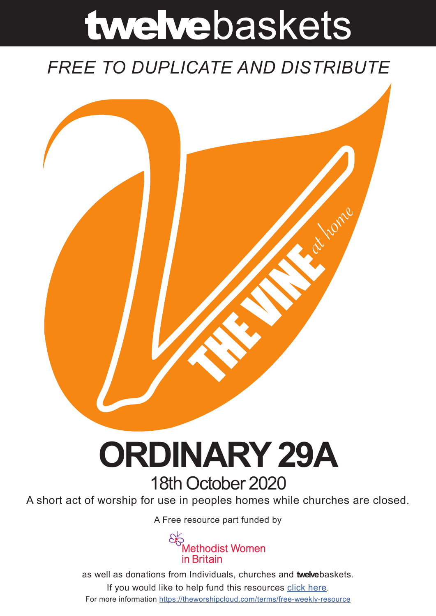# twelvebaskets

### *FREE TO DUPLICATE AND DISTRIBUTE*



## **ORDINARY 29A** 18th October 2020

A short act of worship for use in peoples homes while churches are closed.

A [Free resource part funded](https://mwib.org.uk) by



as well as donations from Individuals, churches and **twelve**baskets. If you would like to help fund this resources [click here]( https://theworshipcloud.com/tags/donation). For more information<https://theworshipcloud.com/terms/free-weekly-resource>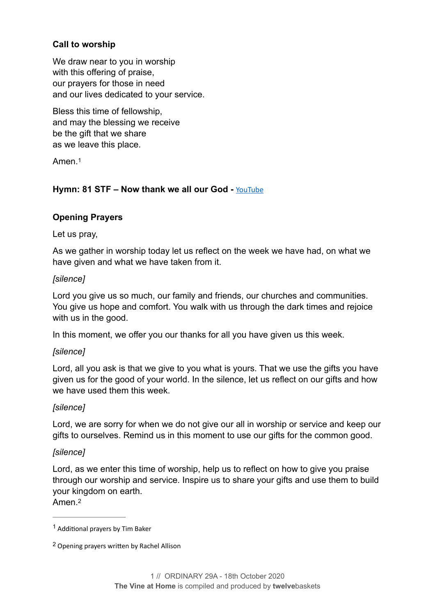#### **Call to worship**

We draw near to you in worship with this offering of praise, our prayers for those in need and our lives dedicated to your service.

Bless this time of fellowship, and may the blessing we receive be the gift that we share as we leave this place.

<span id="page-1-2"></span>Amen<sup>[1](#page-1-0)</sup>

#### Hymn: 81 STF – Now thank we all our God - **[YouTube](https://www.youtube.com/watch?v=ePSfu0dF8JU)**

#### **Opening Prayers**

#### Let us pray,

As we gather in worship today let us reflect on the week we have had, on what we have given and what we have taken from it.

#### *[silence]*

Lord you give us so much, our family and friends, our churches and communities. You give us hope and comfort. You walk with us through the dark times and rejoice with us in the good.

In this moment, we offer you our thanks for all you have given us this week.

#### *[silence]*

Lord, all you ask is that we give to you what is yours. That we use the gifts you have given us for the good of your world. In the silence, let us reflect on our gifts and how we have used them this week.

#### *[silence]*

Lord, we are sorry for when we do not give our all in worship or service and keep our gifts to ourselves. Remind us in this moment to use our gifts for the common good.

#### *[silence]*

Lord, as we enter this time of worship, help us to reflect on how to give you praise through our worship and service. Inspire us to share your gifts and use them to build your kingdom on earth.

<span id="page-1-3"></span>Amen<sup>[2](#page-1-1)</sup>

<span id="page-1-0"></span> $1$  Additional prayers by Tim Baker

<span id="page-1-1"></span><sup>&</sup>lt;sup>[2](#page-1-3)</sup> Opening prayers written by Rachel Allison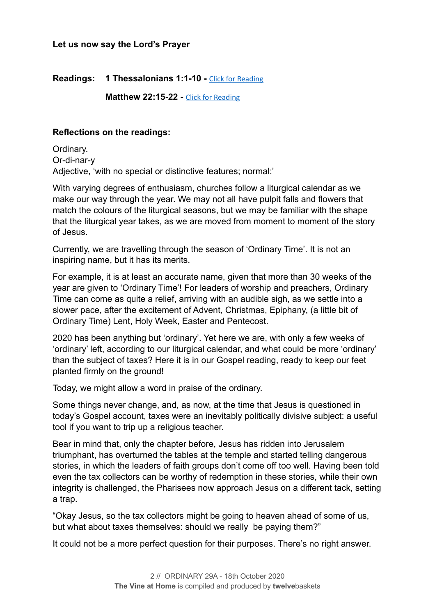#### **Let us now say the Lord's Prayer**

#### **Readings: 1 Thessalonians 1:1-10 -** [Click for Reading](https://www.biblegateway.com/passage/?search=1+Thessalonians+1:1-10&version=NRSV)

**Matthew 22:15-22 - [Click for Reading](https://www.biblegateway.com/passage/?search=Matthew+22:15-22&version=NRSV)** 

#### **Reflections on the readings:**

Ordinary. Or-di-nar-y Adjective, 'with no special or distinctive features; normal:'

With varying degrees of enthusiasm, churches follow a liturgical calendar as we make our way through the year. We may not all have pulpit falls and flowers that match the colours of the liturgical seasons, but we may be familiar with the shape that the liturgical year takes, as we are moved from moment to moment of the story of Jesus.

Currently, we are travelling through the season of 'Ordinary Time'. It is not an inspiring name, but it has its merits.

For example, it is at least an accurate name, given that more than 30 weeks of the year are given to 'Ordinary Time'! For leaders of worship and preachers, Ordinary Time can come as quite a relief, arriving with an audible sigh, as we settle into a slower pace, after the excitement of Advent, Christmas, Epiphany, (a little bit of Ordinary Time) Lent, Holy Week, Easter and Pentecost.

2020 has been anything but 'ordinary'. Yet here we are, with only a few weeks of 'ordinary' left, according to our liturgical calendar, and what could be more 'ordinary' than the subject of taxes? Here it is in our Gospel reading, ready to keep our feet planted firmly on the ground!

Today, we might allow a word in praise of the ordinary.

Some things never change, and, as now, at the time that Jesus is questioned in today's Gospel account, taxes were an inevitably politically divisive subject: a useful tool if you want to trip up a religious teacher.

Bear in mind that, only the chapter before, Jesus has ridden into Jerusalem triumphant, has overturned the tables at the temple and started telling dangerous stories, in which the leaders of faith groups don't come off too well. Having been told even the tax collectors can be worthy of redemption in these stories, while their own integrity is challenged, the Pharisees now approach Jesus on a different tack, setting a trap.

"Okay Jesus, so the tax collectors might be going to heaven ahead of some of us, but what about taxes themselves: should we really be paying them?"

It could not be a more perfect question for their purposes. There's no right answer.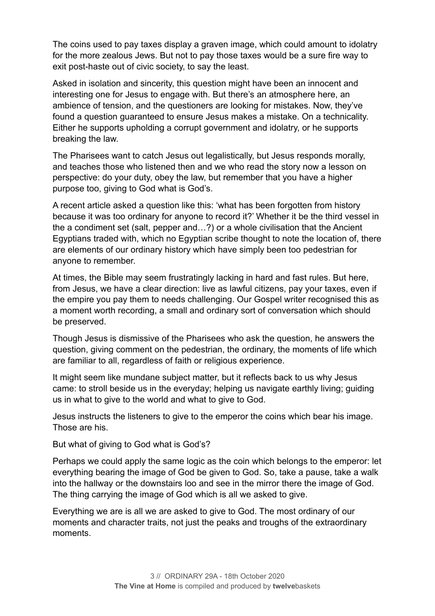The coins used to pay taxes display a graven image, which could amount to idolatry for the more zealous Jews. But not to pay those taxes would be a sure fire way to exit post-haste out of civic society, to say the least.

Asked in isolation and sincerity, this question might have been an innocent and interesting one for Jesus to engage with. But there's an atmosphere here, an ambience of tension, and the questioners are looking for mistakes. Now, they've found a question guaranteed to ensure Jesus makes a mistake. On a technicality. Either he supports upholding a corrupt government and idolatry, or he supports breaking the law.

The Pharisees want to catch Jesus out legalistically, but Jesus responds morally, and teaches those who listened then and we who read the story now a lesson on perspective: do your duty, obey the law, but remember that you have a higher purpose too, giving to God what is God's.

A recent article asked a question like this: 'what has been forgotten from history because it was too ordinary for anyone to record it?' Whether it be the third vessel in the a condiment set (salt, pepper and…?) or a whole civilisation that the Ancient Egyptians traded with, which no Egyptian scribe thought to note the location of, there are elements of our ordinary history which have simply been too pedestrian for anyone to remember.

At times, the Bible may seem frustratingly lacking in hard and fast rules. But here, from Jesus, we have a clear direction: live as lawful citizens, pay your taxes, even if the empire you pay them to needs challenging. Our Gospel writer recognised this as a moment worth recording, a small and ordinary sort of conversation which should be preserved.

Though Jesus is dismissive of the Pharisees who ask the question, he answers the question, giving comment on the pedestrian, the ordinary, the moments of life which are familiar to all, regardless of faith or religious experience.

It might seem like mundane subject matter, but it reflects back to us why Jesus came: to stroll beside us in the everyday; helping us navigate earthly living; guiding us in what to give to the world and what to give to God.

Jesus instructs the listeners to give to the emperor the coins which bear his image. Those are his.

But what of giving to God what is God's?

Perhaps we could apply the same logic as the coin which belongs to the emperor: let everything bearing the image of God be given to God. So, take a pause, take a walk into the hallway or the downstairs loo and see in the mirror there the image of God. The thing carrying the image of God which is all we asked to give.

Everything we are is all we are asked to give to God. The most ordinary of our moments and character traits, not just the peaks and troughs of the extraordinary moments.